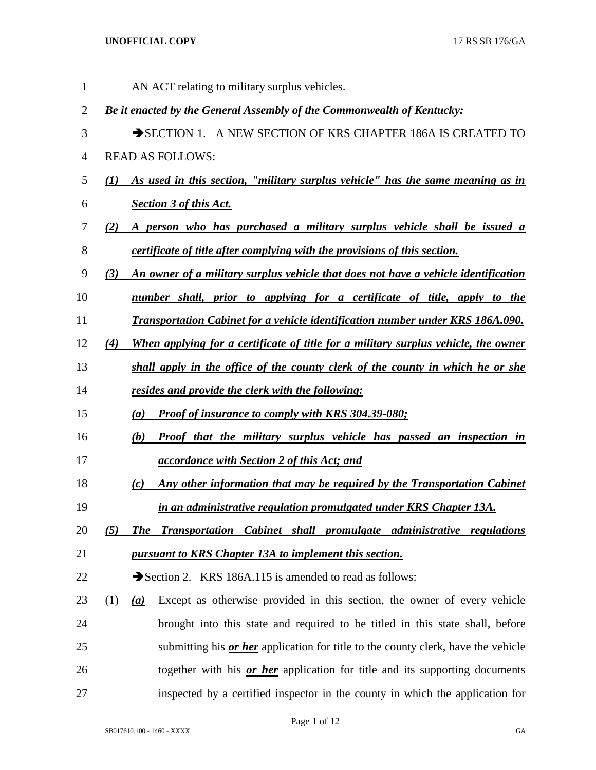| $\mathbf{1}$   | AN ACT relating to military surplus vehicles.                                                      |  |
|----------------|----------------------------------------------------------------------------------------------------|--|
| $\overline{2}$ | Be it enacted by the General Assembly of the Commonwealth of Kentucky:                             |  |
| 3              | SECTION 1. A NEW SECTION OF KRS CHAPTER 186A IS CREATED TO                                         |  |
| 4              | <b>READ AS FOLLOWS:</b>                                                                            |  |
| 5              | As used in this section, "military surplus vehicle" has the same meaning as in<br>$\mathcal{L}(I)$ |  |
| 6              | <b>Section 3 of this Act.</b>                                                                      |  |
| 7              | A person who has purchased a military surplus vehicle shall be issued a<br>(2)                     |  |
| 8              | certificate of title after complying with the provisions of this section.                          |  |
| 9              | An owner of a military surplus vehicle that does not have a vehicle identification<br>(3)          |  |
| 10             | number shall, prior to applying for a certificate of title, apply to the                           |  |
| 11             | <b>Transportation Cabinet for a vehicle identification number under KRS 186A.090.</b>              |  |
| 12             | When applying for a certificate of title for a military surplus vehicle, the owner<br>(4)          |  |
| 13             | shall apply in the office of the county clerk of the county in which he or she                     |  |
| 14             | resides and provide the clerk with the following:                                                  |  |
| 15             | <b>Proof of insurance to comply with KRS 304.39-080;</b><br>(a)                                    |  |
| 16             | <b>Proof that the military surplus vehicle has passed an inspection in</b><br>(b)                  |  |
| 17             | <i><u>accordance with Section 2 of this Act; and</u></i>                                           |  |
| 18             | Any other information that may be required by the Transportation Cabinet<br>(c)                    |  |
| 19             | in an administrative regulation promulgated under KRS Chapter 13A.                                 |  |
| 20             | <b>Transportation Cabinet shall promulgate administrative regulations</b><br>(5)<br><b>The</b>     |  |
| 21             | pursuant to KRS Chapter 13A to implement this section.                                             |  |
| 22             | Section 2. KRS 186A.115 is amended to read as follows:                                             |  |
| 23             | Except as otherwise provided in this section, the owner of every vehicle<br>(1)<br>(a)             |  |
| 24             | brought into this state and required to be titled in this state shall, before                      |  |
| 25             | submitting his <i>or her</i> application for title to the county clerk, have the vehicle           |  |
| 26             | together with his or her application for title and its supporting documents                        |  |
| 27             | inspected by a certified inspector in the county in which the application for                      |  |

Page 1 of 12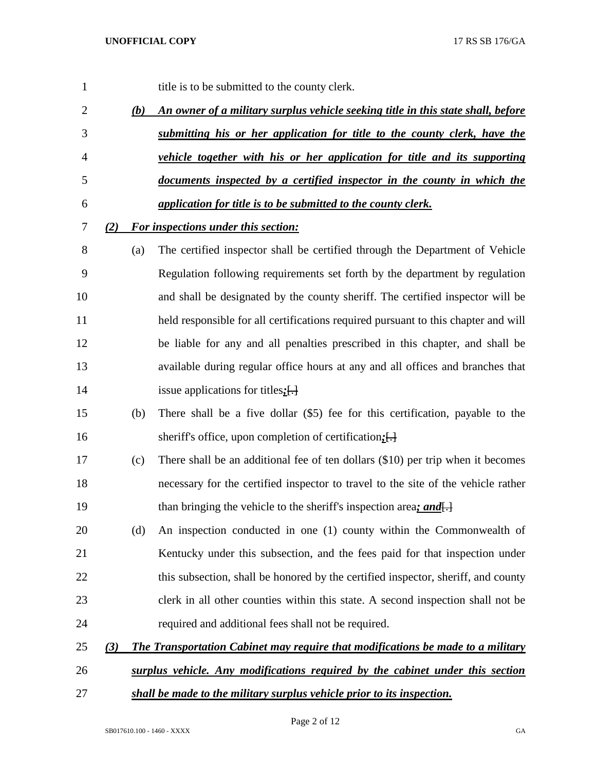| 1              |     |     | title is to be submitted to the county clerk.                                          |
|----------------|-----|-----|----------------------------------------------------------------------------------------|
| $\overline{2}$ |     | (b) | An owner of a military surplus vehicle seeking title in this state shall, before       |
| 3              |     |     | submitting his or her application for title to the county clerk, have the              |
| $\overline{4}$ |     |     | vehicle together with his or her application for title and its supporting              |
| 5              |     |     | documents inspected by a certified inspector in the county in which the                |
| 6              |     |     | application for title is to be submitted to the county clerk.                          |
| 7              | (2) |     | <b>For inspections under this section:</b>                                             |
| 8              |     | (a) | The certified inspector shall be certified through the Department of Vehicle           |
| 9              |     |     | Regulation following requirements set forth by the department by regulation            |
| 10             |     |     | and shall be designated by the county sheriff. The certified inspector will be         |
| 11             |     |     | held responsible for all certifications required pursuant to this chapter and will     |
| 12             |     |     | be liable for any and all penalties prescribed in this chapter, and shall be           |
| 13             |     |     | available during regular office hours at any and all offices and branches that         |
| 14             |     |     | issue applications for titles; $\left\{\frac{1}{2}\right\}$                            |
| 15             |     | (b) | There shall be a five dollar (\$5) fee for this certification, payable to the          |
| 16             |     |     | sheriff's office, upon completion of certification; [-]                                |
| 17             |     | (c) | There shall be an additional fee of ten dollars (\$10) per trip when it becomes        |
| 18             |     |     | necessary for the certified inspector to travel to the site of the vehicle rather      |
| 19             |     |     | than bringing the vehicle to the sheriff's inspection area; and.                       |
| 20             |     | (d) | An inspection conducted in one (1) county within the Commonwealth of                   |
| 21             |     |     | Kentucky under this subsection, and the fees paid for that inspection under            |
| 22             |     |     | this subsection, shall be honored by the certified inspector, sheriff, and county      |
| 23             |     |     | clerk in all other counties within this state. A second inspection shall not be        |
| 24             |     |     | required and additional fees shall not be required.                                    |
| 25             | (3) |     | <b>The Transportation Cabinet may require that modifications be made to a military</b> |
| 26             |     |     | surplus vehicle. Any modifications required by the cabinet under this section          |
| 27             |     |     | shall be made to the military surplus vehicle prior to its inspection.                 |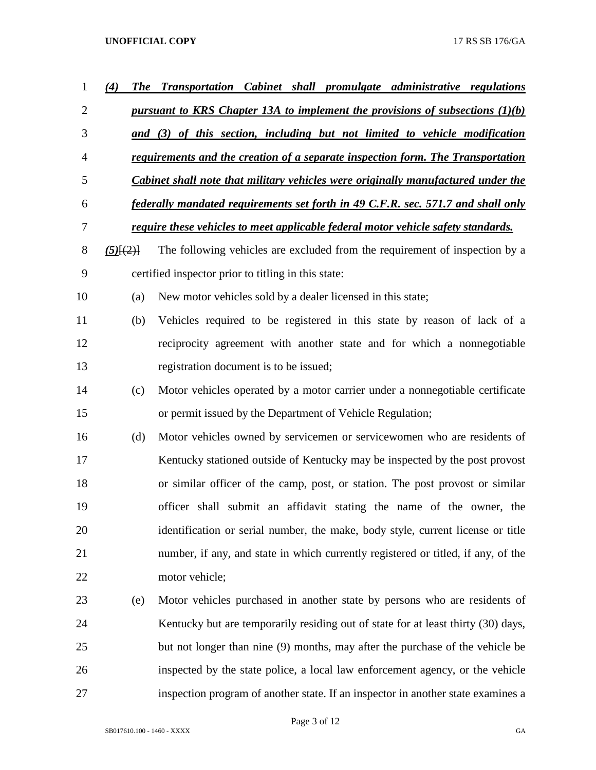| $\mathbf 1$ | (4)<br><b>The</b> | <b>Transportation Cabinet shall promulgate administrative regulations</b>               |
|-------------|-------------------|-----------------------------------------------------------------------------------------|
| 2           |                   | pursuant to KRS Chapter 13A to implement the provisions of subsections $(1)(b)$         |
| 3           |                   | and (3) of this section, including but not limited to vehicle modification              |
| 4           |                   | requirements and the creation of a separate inspection form. The Transportation         |
| 5           |                   | <b>Cabinet shall note that military vehicles were originally manufactured under the</b> |
| 6           |                   | federally mandated requirements set forth in 49 C.F.R. sec. 571.7 and shall only        |
| 7           |                   | require these vehicles to meet applicable federal motor vehicle safety standards.       |
| 8           | $(5)$ $\{2\}$     | The following vehicles are excluded from the requirement of inspection by a             |
| 9           |                   | certified inspector prior to titling in this state:                                     |
| 10          | (a)               | New motor vehicles sold by a dealer licensed in this state;                             |
| 11          | (b)               | Vehicles required to be registered in this state by reason of lack of a                 |
| 12          |                   | reciprocity agreement with another state and for which a nonnegotiable                  |
| 13          |                   | registration document is to be issued;                                                  |
| 14          | (c)               | Motor vehicles operated by a motor carrier under a nonnegotiable certificate            |
| 15          |                   | or permit issued by the Department of Vehicle Regulation;                               |
| 16          | (d)               | Motor vehicles owned by servicemen or servicewomen who are residents of                 |
| 17          |                   | Kentucky stationed outside of Kentucky may be inspected by the post provost             |
| 18          |                   | or similar officer of the camp, post, or station. The post provost or similar           |
| 19          |                   | officer shall submit an affidavit stating the name of the owner, the                    |
| 20          |                   | identification or serial number, the make, body style, current license or title         |
| 21          |                   | number, if any, and state in which currently registered or titled, if any, of the       |
| 22          |                   | motor vehicle;                                                                          |
| 23          | (e)               | Motor vehicles purchased in another state by persons who are residents of               |
| 24          |                   | Kentucky but are temporarily residing out of state for at least thirty (30) days,       |
| 25          |                   | but not longer than nine (9) months, may after the purchase of the vehicle be           |
| 26          |                   | inspected by the state police, a local law enforcement agency, or the vehicle           |
| 27          |                   | inspection program of another state. If an inspector in another state examines a        |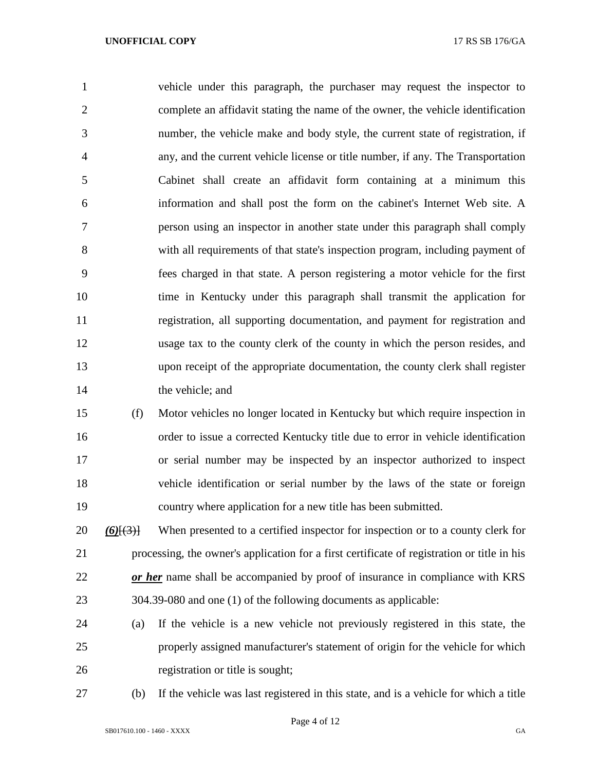vehicle under this paragraph, the purchaser may request the inspector to complete an affidavit stating the name of the owner, the vehicle identification number, the vehicle make and body style, the current state of registration, if any, and the current vehicle license or title number, if any. The Transportation Cabinet shall create an affidavit form containing at a minimum this information and shall post the form on the cabinet's Internet Web site. A person using an inspector in another state under this paragraph shall comply with all requirements of that state's inspection program, including payment of fees charged in that state. A person registering a motor vehicle for the first time in Kentucky under this paragraph shall transmit the application for registration, all supporting documentation, and payment for registration and usage tax to the county clerk of the county in which the person resides, and upon receipt of the appropriate documentation, the county clerk shall register 14 the vehicle; and

 (f) Motor vehicles no longer located in Kentucky but which require inspection in order to issue a corrected Kentucky title due to error in vehicle identification or serial number may be inspected by an inspector authorized to inspect vehicle identification or serial number by the laws of the state or foreign country where application for a new title has been submitted.

 *(6)*[(3)] When presented to a certified inspector for inspection or to a county clerk for processing, the owner's application for a first certificate of registration or title in his *or her* name shall be accompanied by proof of insurance in compliance with KRS 304.39-080 and one (1) of the following documents as applicable:

- (a) If the vehicle is a new vehicle not previously registered in this state, the properly assigned manufacturer's statement of origin for the vehicle for which registration or title is sought;
- 

(b) If the vehicle was last registered in this state, and is a vehicle for which a title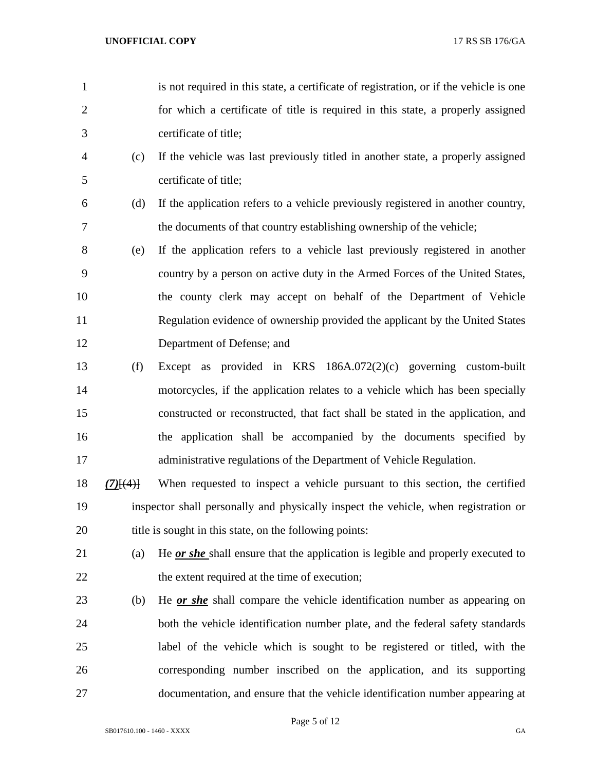- is not required in this state, a certificate of registration, or if the vehicle is one for which a certificate of title is required in this state, a properly assigned certificate of title;
- (c) If the vehicle was last previously titled in another state, a properly assigned certificate of title;
- (d) If the application refers to a vehicle previously registered in another country, the documents of that country establishing ownership of the vehicle;
- (e) If the application refers to a vehicle last previously registered in another country by a person on active duty in the Armed Forces of the United States, the county clerk may accept on behalf of the Department of Vehicle Regulation evidence of ownership provided the applicant by the United States Department of Defense; and
- (f) Except as provided in KRS 186A.072(2)(c) governing custom-built motorcycles, if the application relates to a vehicle which has been specially constructed or reconstructed, that fact shall be stated in the application, and the application shall be accompanied by the documents specified by administrative regulations of the Department of Vehicle Regulation.
- *(7)*[(4)] When requested to inspect a vehicle pursuant to this section, the certified inspector shall personally and physically inspect the vehicle, when registration or 20 title is sought in this state, on the following points:
- (a) He *or she* shall ensure that the application is legible and properly executed to 22 the extent required at the time of execution;
- (b) He *or she* shall compare the vehicle identification number as appearing on both the vehicle identification number plate, and the federal safety standards label of the vehicle which is sought to be registered or titled, with the corresponding number inscribed on the application, and its supporting documentation, and ensure that the vehicle identification number appearing at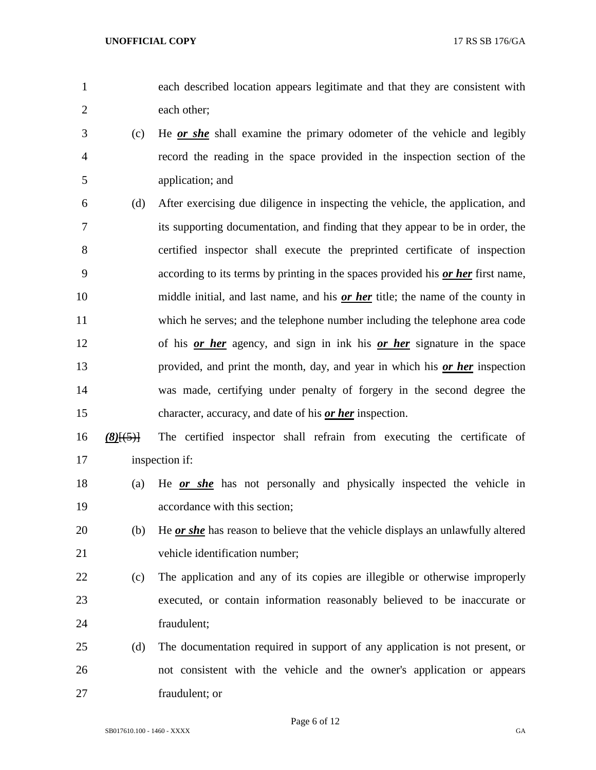each described location appears legitimate and that they are consistent with each other;

- (c) He *or she* shall examine the primary odometer of the vehicle and legibly record the reading in the space provided in the inspection section of the application; and
- (d) After exercising due diligence in inspecting the vehicle, the application, and its supporting documentation, and finding that they appear to be in order, the certified inspector shall execute the preprinted certificate of inspection according to its terms by printing in the spaces provided his *or her* first name, middle initial, and last name, and his *or her* title; the name of the county in which he serves; and the telephone number including the telephone area code of his *or her* agency, and sign in ink his *or her* signature in the space provided, and print the month, day, and year in which his *or her* inspection was made, certifying under penalty of forgery in the second degree the character, accuracy, and date of his *or her* inspection.
- *(8)*[(5)] The certified inspector shall refrain from executing the certificate of inspection if:
- (a) He *or she* has not personally and physically inspected the vehicle in accordance with this section;
- (b) He *or she* has reason to believe that the vehicle displays an unlawfully altered vehicle identification number;
- (c) The application and any of its copies are illegible or otherwise improperly executed, or contain information reasonably believed to be inaccurate or fraudulent;
- (d) The documentation required in support of any application is not present, or not consistent with the vehicle and the owner's application or appears fraudulent; or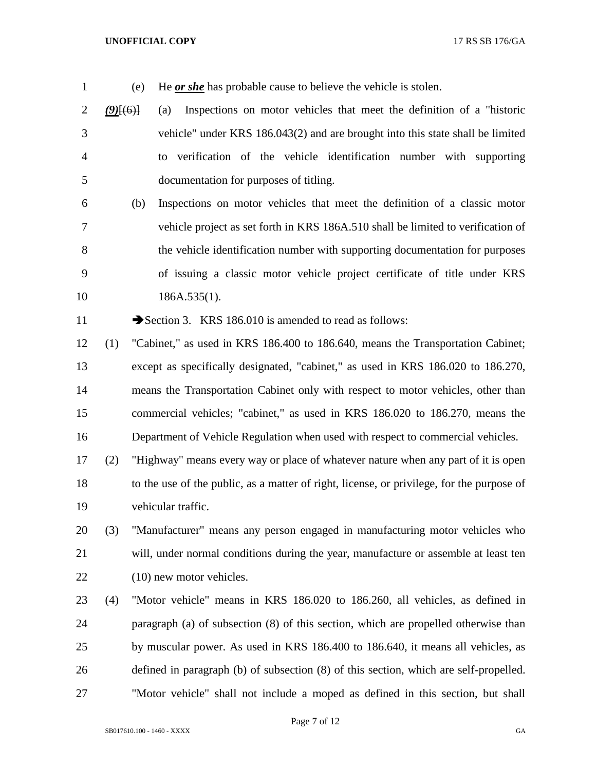(e) He *or she* has probable cause to believe the vehicle is stolen.

 *(9)*[(6)] (a) Inspections on motor vehicles that meet the definition of a "historic vehicle" under KRS 186.043(2) and are brought into this state shall be limited to verification of the vehicle identification number with supporting documentation for purposes of titling.

 (b) Inspections on motor vehicles that meet the definition of a classic motor vehicle project as set forth in KRS 186A.510 shall be limited to verification of the vehicle identification number with supporting documentation for purposes of issuing a classic motor vehicle project certificate of title under KRS 10 186A.535(1).

11 Section 3. KRS 186.010 is amended to read as follows:

 (1) "Cabinet," as used in KRS 186.400 to 186.640, means the Transportation Cabinet; except as specifically designated, "cabinet," as used in KRS 186.020 to 186.270, means the Transportation Cabinet only with respect to motor vehicles, other than commercial vehicles; "cabinet," as used in KRS 186.020 to 186.270, means the Department of Vehicle Regulation when used with respect to commercial vehicles.

 (2) "Highway" means every way or place of whatever nature when any part of it is open to the use of the public, as a matter of right, license, or privilege, for the purpose of vehicular traffic.

 (3) "Manufacturer" means any person engaged in manufacturing motor vehicles who will, under normal conditions during the year, manufacture or assemble at least ten (10) new motor vehicles.

 (4) "Motor vehicle" means in KRS 186.020 to 186.260, all vehicles, as defined in paragraph (a) of subsection (8) of this section, which are propelled otherwise than by muscular power. As used in KRS 186.400 to 186.640, it means all vehicles, as defined in paragraph (b) of subsection (8) of this section, which are self-propelled. "Motor vehicle" shall not include a moped as defined in this section, but shall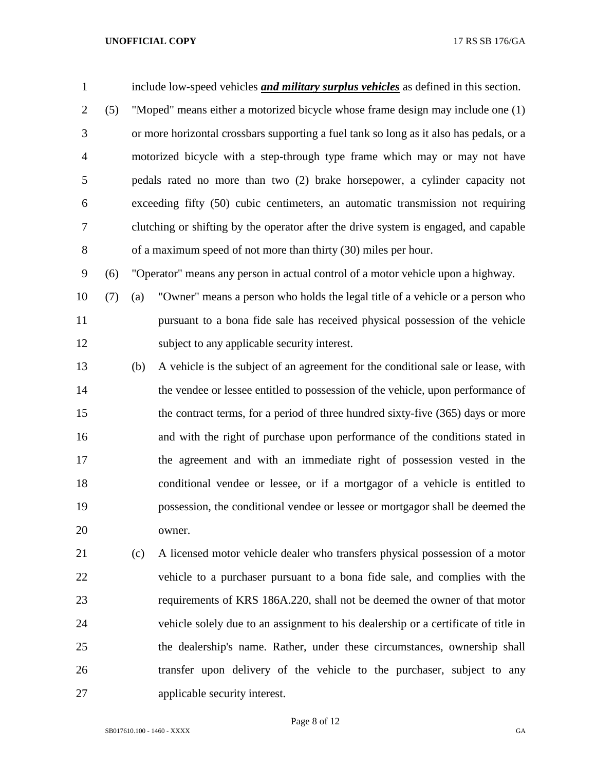| $\mathbf{1}$   |     |                                                                                  | include low-speed vehicles <i>and military surplus vehicles</i> as defined in this section. |  |  |
|----------------|-----|----------------------------------------------------------------------------------|---------------------------------------------------------------------------------------------|--|--|
| $\overline{2}$ | (5) | "Moped" means either a motorized bicycle whose frame design may include one (1)  |                                                                                             |  |  |
| 3              |     |                                                                                  | or more horizontal crossbars supporting a fuel tank so long as it also has pedals, or a     |  |  |
| $\overline{4}$ |     |                                                                                  | motorized bicycle with a step-through type frame which may or may not have                  |  |  |
| 5              |     |                                                                                  | pedals rated no more than two (2) brake horsepower, a cylinder capacity not                 |  |  |
| 6              |     |                                                                                  | exceeding fifty (50) cubic centimeters, an automatic transmission not requiring             |  |  |
| $\tau$         |     |                                                                                  | clutching or shifting by the operator after the drive system is engaged, and capable        |  |  |
| $8\,$          |     |                                                                                  | of a maximum speed of not more than thirty (30) miles per hour.                             |  |  |
| 9              | (6) | "Operator" means any person in actual control of a motor vehicle upon a highway. |                                                                                             |  |  |
| 10             | (7) | (a)                                                                              | "Owner" means a person who holds the legal title of a vehicle or a person who               |  |  |
| 11             |     |                                                                                  | pursuant to a bona fide sale has received physical possession of the vehicle                |  |  |
| 12             |     |                                                                                  | subject to any applicable security interest.                                                |  |  |
| 13             |     | (b)                                                                              | A vehicle is the subject of an agreement for the conditional sale or lease, with            |  |  |
| 14             |     |                                                                                  | the vendee or lessee entitled to possession of the vehicle, upon performance of             |  |  |
| 15             |     |                                                                                  | the contract terms, for a period of three hundred sixty-five (365) days or more             |  |  |
| 16             |     |                                                                                  | and with the right of purchase upon performance of the conditions stated in                 |  |  |
| 17             |     |                                                                                  | the agreement and with an immediate right of possession vested in the                       |  |  |
| 18             |     |                                                                                  | conditional vendee or lessee, or if a mortgagor of a vehicle is entitled to                 |  |  |
| 19             |     |                                                                                  | possession, the conditional vendee or lessee or mortgagor shall be deemed the               |  |  |
| 20             |     |                                                                                  | owner.                                                                                      |  |  |
| 21             |     | (c)                                                                              | A licensed motor vehicle dealer who transfers physical possession of a motor                |  |  |
| 22             |     |                                                                                  | vehicle to a purchaser pursuant to a bona fide sale, and complies with the                  |  |  |
| 23             |     |                                                                                  | requirements of KRS 186A.220, shall not be deemed the owner of that motor                   |  |  |
| 24             |     |                                                                                  | vehicle solely due to an assignment to his dealership or a certificate of title in          |  |  |
| 25             |     |                                                                                  | the dealership's name. Rather, under these circumstances, ownership shall                   |  |  |
| 26             |     |                                                                                  | transfer upon delivery of the vehicle to the purchaser, subject to any                      |  |  |

applicable security interest.

Page 8 of 12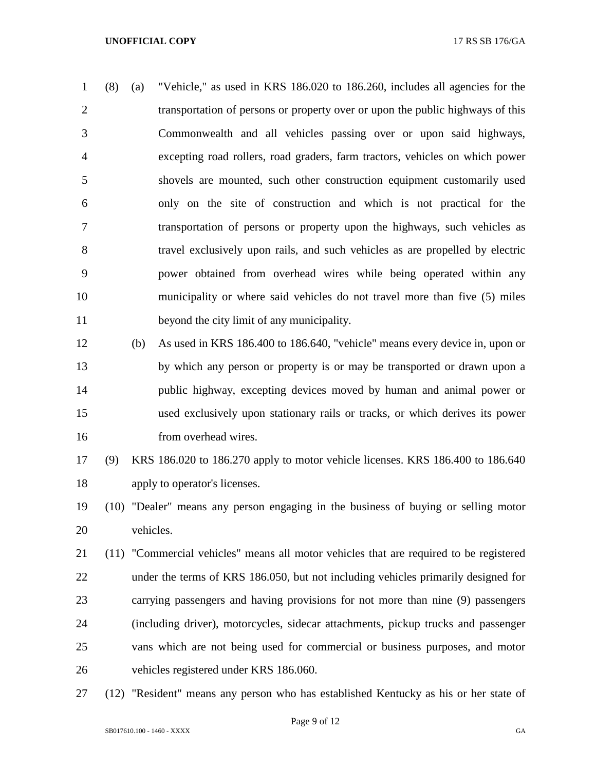- (8) (a) "Vehicle," as used in KRS 186.020 to 186.260, includes all agencies for the transportation of persons or property over or upon the public highways of this Commonwealth and all vehicles passing over or upon said highways, excepting road rollers, road graders, farm tractors, vehicles on which power shovels are mounted, such other construction equipment customarily used only on the site of construction and which is not practical for the transportation of persons or property upon the highways, such vehicles as travel exclusively upon rails, and such vehicles as are propelled by electric power obtained from overhead wires while being operated within any municipality or where said vehicles do not travel more than five (5) miles beyond the city limit of any municipality.
- (b) As used in KRS 186.400 to 186.640, "vehicle" means every device in, upon or by which any person or property is or may be transported or drawn upon a public highway, excepting devices moved by human and animal power or used exclusively upon stationary rails or tracks, or which derives its power 16 from overhead wires.
- (9) KRS 186.020 to 186.270 apply to motor vehicle licenses. KRS 186.400 to 186.640 apply to operator's licenses.
- (10) "Dealer" means any person engaging in the business of buying or selling motor vehicles.
- (11) "Commercial vehicles" means all motor vehicles that are required to be registered under the terms of KRS 186.050, but not including vehicles primarily designed for carrying passengers and having provisions for not more than nine (9) passengers (including driver), motorcycles, sidecar attachments, pickup trucks and passenger vans which are not being used for commercial or business purposes, and motor vehicles registered under KRS 186.060.
- (12) "Resident" means any person who has established Kentucky as his or her state of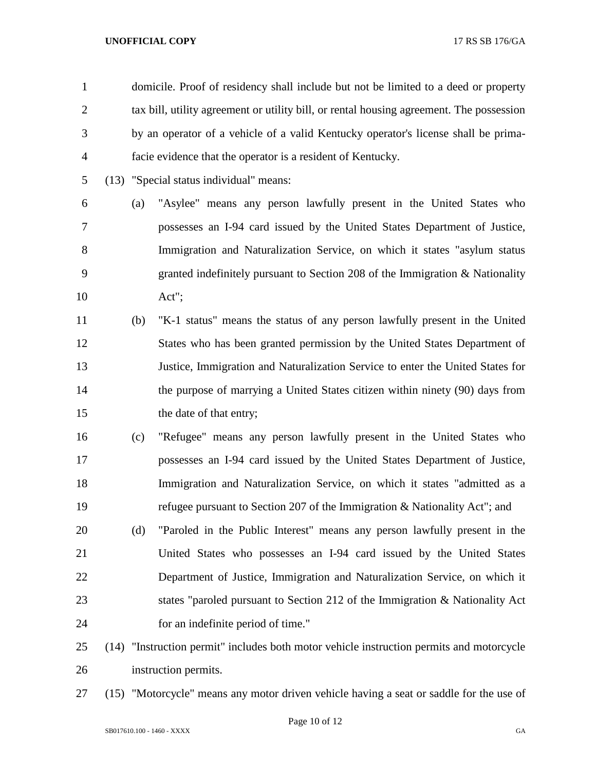| $\mathbf{1}$   |     | domicile. Proof of residency shall include but not be limited to a deed or property      |
|----------------|-----|------------------------------------------------------------------------------------------|
| $\overline{2}$ |     | tax bill, utility agreement or utility bill, or rental housing agreement. The possession |
| 3              |     | by an operator of a vehicle of a valid Kentucky operator's license shall be prima-       |
| $\overline{4}$ |     | facie evidence that the operator is a resident of Kentucky.                              |
| 5              |     | (13) "Special status individual" means:                                                  |
| 6              | (a) | "Asylee" means any person lawfully present in the United States who                      |
| $\overline{7}$ |     | possesses an I-94 card issued by the United States Department of Justice,                |
| 8              |     | Immigration and Naturalization Service, on which it states "asylum status"               |
| 9              |     | granted indefinitely pursuant to Section 208 of the Immigration $\&$ Nationality         |
| 10             |     | Act";                                                                                    |
| 11             | (b) | "K-1 status" means the status of any person lawfully present in the United               |
| 12             |     | States who has been granted permission by the United States Department of                |
| 13             |     | Justice, Immigration and Naturalization Service to enter the United States for           |
| 14             |     | the purpose of marrying a United States citizen within ninety (90) days from             |
| 15             |     | the date of that entry;                                                                  |
| 16             | (c) | "Refugee" means any person lawfully present in the United States who                     |
| 17             |     | possesses an I-94 card issued by the United States Department of Justice,                |
| 18             |     | Immigration and Naturalization Service, on which it states "admitted as a                |
| 19             |     | refugee pursuant to Section 207 of the Immigration & Nationality Act"; and               |
| 20             | (d) | "Paroled in the Public Interest" means any person lawfully present in the                |
| 21             |     | United States who possesses an I-94 card issued by the United States                     |
| 22             |     | Department of Justice, Immigration and Naturalization Service, on which it               |
| 23             |     | states "paroled pursuant to Section 212 of the Immigration & Nationality Act             |
| 24             |     | for an indefinite period of time."                                                       |
| 25             |     | (14) "Instruction permit" includes both motor vehicle instruction permits and motorcycle |
| 26             |     | instruction permits.                                                                     |

(15) "Motorcycle" means any motor driven vehicle having a seat or saddle for the use of

Page 10 of 12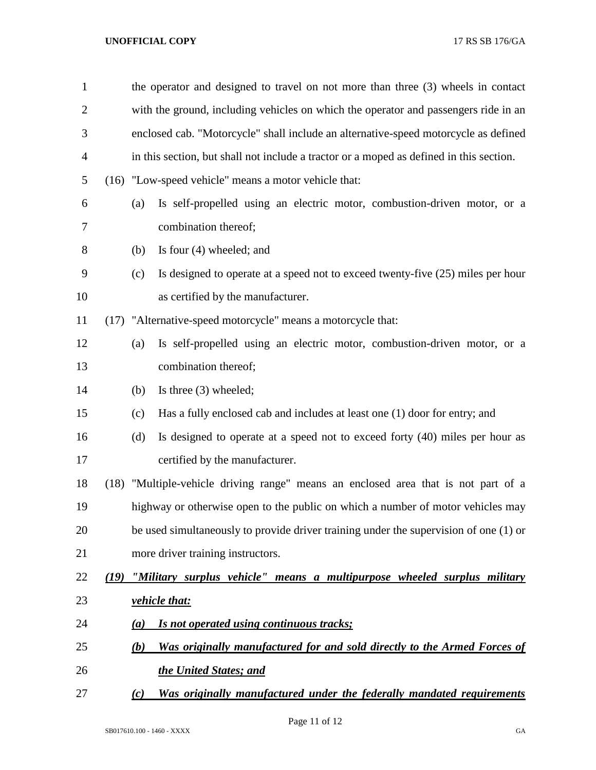| $\mathbf{1}$   |                                                                                       | the operator and designed to travel on not more than three (3) wheels in contact        |
|----------------|---------------------------------------------------------------------------------------|-----------------------------------------------------------------------------------------|
| $\overline{2}$ |                                                                                       | with the ground, including vehicles on which the operator and passengers ride in an     |
| 3              |                                                                                       | enclosed cab. "Motorcycle" shall include an alternative-speed motorcycle as defined     |
| $\overline{4}$ |                                                                                       | in this section, but shall not include a tractor or a moped as defined in this section. |
| 5              |                                                                                       | (16) "Low-speed vehicle" means a motor vehicle that:                                    |
| 6              | (a)                                                                                   | Is self-propelled using an electric motor, combustion-driven motor, or a                |
| 7              |                                                                                       | combination thereof;                                                                    |
| 8              | (b)                                                                                   | Is four $(4)$ wheeled; and                                                              |
| 9              | (c)                                                                                   | Is designed to operate at a speed not to exceed twenty-five (25) miles per hour         |
| 10             |                                                                                       | as certified by the manufacturer.                                                       |
| 11             |                                                                                       | (17) "Alternative-speed motorcycle" means a motorcycle that:                            |
| 12             | (a)                                                                                   | Is self-propelled using an electric motor, combustion-driven motor, or a                |
| 13             |                                                                                       | combination thereof;                                                                    |
| 14             | (b)                                                                                   | Is three $(3)$ wheeled;                                                                 |
| 15             | (c)                                                                                   | Has a fully enclosed cab and includes at least one (1) door for entry; and              |
| 16             | (d)                                                                                   | Is designed to operate at a speed not to exceed forty (40) miles per hour as            |
| 17             |                                                                                       | certified by the manufacturer.                                                          |
| 18             |                                                                                       | (18) "Multiple-vehicle driving range" means an enclosed area that is not part of a      |
| 19             |                                                                                       | highway or otherwise open to the public on which a number of motor vehicles may         |
| 20             | be used simultaneously to provide driver training under the supervision of one (1) or |                                                                                         |
| 21             |                                                                                       | more driver training instructors.                                                       |
| 22             |                                                                                       | (19) "Military surplus vehicle" means a multipurpose wheeled surplus military           |
| 23             |                                                                                       | <i>vehicle that:</i>                                                                    |
| 24             | $\left(a\right)$                                                                      | Is not operated using continuous tracks;                                                |
| 25             | (b)                                                                                   | Was originally manufactured for and sold directly to the Armed Forces of                |
| 26             |                                                                                       | the United States; and                                                                  |
| 27             | (c)                                                                                   | Was originally manufactured under the federally mandated requirements                   |